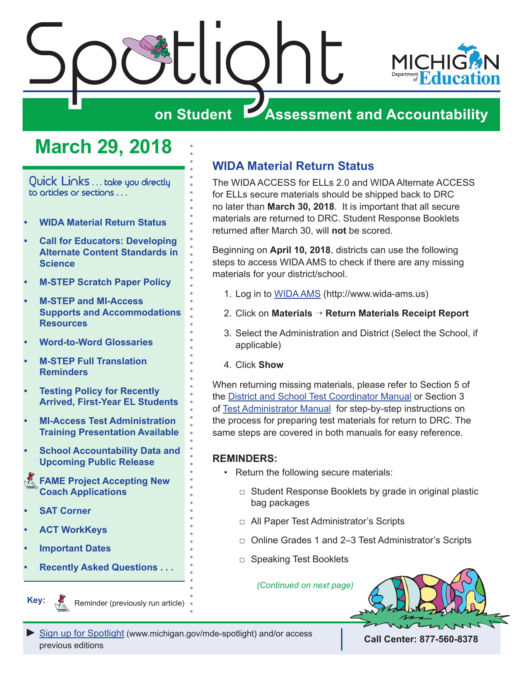<span id="page-0-0"></span>

# **March 29, 2018**

Quick Links ... take you directly to articles or sections . . .

- **• WIDA Material Return Status**
- **• [Call for Educators: Developing](#page-1-0)  [Alternate Content Standards in](#page-1-0)  [Science](#page-1-0)**
- **• [M-STEP Scratch Paper Policy](#page-2-0)**
- **• [M-STEP and MI-Access](#page-3-0)  [Supports and Accommodations](#page-3-0)  [Resources](#page-3-0)**
- **• [Word-to-Word Glossaries](#page-3-0)**
- **• [M-STEP Full Translation](#page-3-0)  [Reminders](#page-3-0)**
- **• [Testing Policy for Recently](#page-5-0)  [Arrived, First-Year EL Students](#page-5-0)**
- **• [MI-Access Test Administration](#page-5-0)  [Training Presentation Available](#page-5-0)**
- **• [School Accountability Data and](#page-6-0)  [Upcoming Public Release](#page-6-0)**
- Reminders **[FAME Project Accepting New](#page-6-0)  [Coach Applications](#page-6-0)**
- **• [SAT Corner](#page-7-0)**

**Key:**

- **• [ACT WorkKeys](#page-9-0)**
- **• [Important Dates](#page-13-0)**

Reminders

**• [Recently Asked Questions . . .](#page-15-0)**

Reminder (previously run article)

## **WIDA Material Return Status**

The WIDA ACCESS for ELLs 2.0 and WIDA Alternate ACCESS for ELLs secure materials should be shipped back to DRC no later than **March 30, 2018**. It is important that all secure materials are returned to DRC. Student Response Booklets returned after March 30, will **not** be scored.

Beginning on **April 10, 2018**, districts can use the following steps to access WIDA AMS to check if there are any missing materials for your district/school.

- 1. Log in to [WIDA AMS](http://www.wida-ams.us) (<http://www.wida-ams.us>)
- 2. Click on **Materials** → **Return Materials Receipt Report**
- 3. Select the Administration and District (Select the School, if applicable)
- 4. Click **Show**

When returning missing materials, please refer to Section 5 of the [District and School Test Coordinator Manual](https://www.wida.us/assessment/access 2.0/documents/2017DistrictSchoolTestCoordinatorManual.pdf) or Section 3 of [Test Administrator Manual](https://www.wida.us/assessment/access 2.0/documents/2017TestAdministratorManual.pdf) for step-by-step instructions on the process for preparing test materials for return to DRC. The same steps are covered in both manuals for easy reference.

#### **REMINDERS:**

- Return the following secure materials:
	- □ Student Response Booklets by grade in original plastic bag packages
	- □ All Paper Test Administrator's Scripts
	- □ Online Grades 1 and 2–3 Test Administrator's Scripts
	- □ Speaking Test Booklets

*(Continued on next page)*



**[Sign up for Spotlight](https://public.govdelivery.com/accounts/MIMDE/subscriber/new) [\(www.michigan.gov/mde](www.michigan.gov/mde-spotlight)-spotlight) and/or access** previous editions **Call Center: 877-560-8378**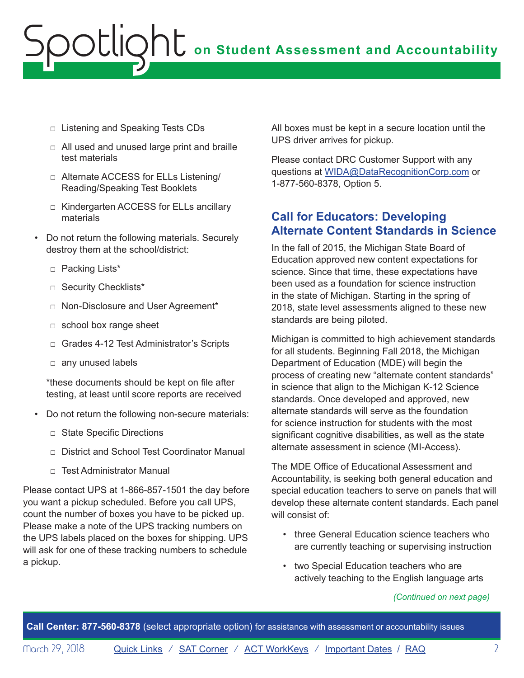- <span id="page-1-0"></span>□ Listening and Speaking Tests CDs
- $\Box$  All used and unused large print and braille test materials
- □ Alternate ACCESS for ELLs Listening/ Reading/Speaking Test Booklets
- □ Kindergarten ACCESS for ELLs ancillary materials
- Do not return the following materials. Securely destroy them at the school/district:
	- □ Packing Lists\*
	- □ Security Checklists\*
	- □ Non-Disclosure and User Agreement\*
	- □ school box range sheet
	- □ Grades 4-12 Test Administrator's Scripts
	- □ any unused labels

\*these documents should be kept on file after testing, at least until score reports are received

- Do not return the following non-secure materials:
	- □ State Specific Directions
	- □ District and School Test Coordinator Manual
	- $\neg$  Test Administrator Manual

Please contact UPS at 1-866-857-1501 the day before you want a pickup scheduled. Before you call UPS, count the number of boxes you have to be picked up. Please make a note of the UPS tracking numbers on the UPS labels placed on the boxes for shipping. UPS will ask for one of these tracking numbers to schedule a pickup.

All boxes must be kept in a secure location until the UPS driver arrives for pickup.

Please contact DRC Customer Support with any questions at [WIDA@DataRecognitionCorp.com](mailto:WIDA%40DataRecognitionCorp.com?subject=) or 1-877-560-8378, Option 5.

## **Call for Educators: Developing Alternate Content Standards in Science**

In the fall of 2015, the Michigan State Board of Education approved new content expectations for science. Since that time, these expectations have been used as a foundation for science instruction in the state of Michigan. Starting in the spring of 2018, state level assessments aligned to these new standards are being piloted.

Michigan is committed to high achievement standards for all students. Beginning Fall 2018, the Michigan Department of Education (MDE) will begin the process of creating new "alternate content standards" in science that align to the Michigan K-12 Science standards. Once developed and approved, new alternate standards will serve as the foundation for science instruction for students with the most significant cognitive disabilities, as well as the state alternate assessment in science (MI-Access).

The MDE Office of Educational Assessment and Accountability, is seeking both general education and special education teachers to serve on panels that will develop these alternate content standards. Each panel will consist of:

- three General Education science teachers who are currently teaching or supervising instruction
- two Special Education teachers who are actively teaching to the English language arts

#### *(Continued on next page)*

**Call Center: 877-560-8378** (select appropriate option) for assistance with assessment or accountability issues

Morch 29, 2018 [Quick Links](#page-0-0) / [SAT Corner](#page-7-1) / [ACT WorkKeys](#page-9-1) / [Important Dates](#page-13-1) / [RAQ](#page-15-1) 2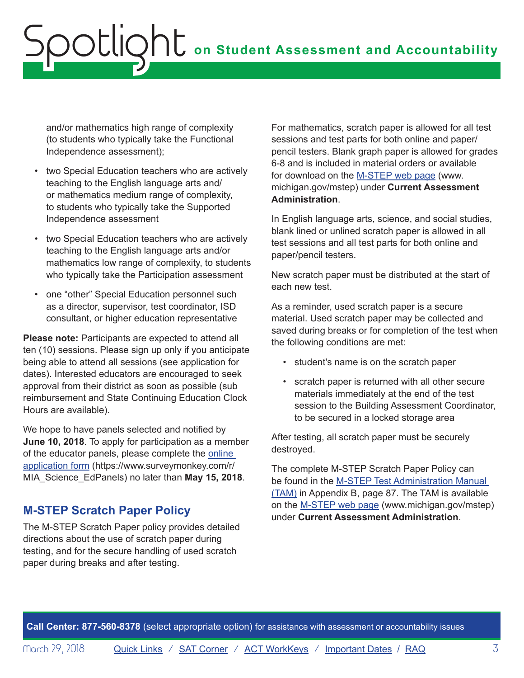<span id="page-2-0"></span>and/or mathematics high range of complexity (to students who typically take the Functional Independence assessment);

- two Special Education teachers who are actively teaching to the English language arts and/ or mathematics medium range of complexity, to students who typically take the Supported Independence assessment
- two Special Education teachers who are actively teaching to the English language arts and/or mathematics low range of complexity, to students who typically take the Participation assessment
- one "other" Special Education personnel such as a director, supervisor, test coordinator, ISD consultant, or higher education representative

**Please note:** Participants are expected to attend all ten (10) sessions. Please sign up only if you anticipate being able to attend all sessions (see application for dates). Interested educators are encouraged to seek approval from their district as soon as possible (sub reimbursement and State Continuing Education Clock Hours are available).

We hope to have panels selected and notified by **June 10, 2018**. To apply for participation as a member of the educator panels, please complete the [online](https://www.surveymonkey.com/r/MIA_Science_EdPanels)  [application form](https://www.surveymonkey.com/r/MIA_Science_EdPanels) (https://www.surveymonkey.com/r/ MIA\_Science\_EdPanels) no later than **May 15, 2018**.

# **M-STEP Scratch Paper Policy**

The M-STEP Scratch Paper policy provides detailed directions about the use of scratch paper during testing, and for the secure handling of used scratch paper during breaks and after testing.

For mathematics, scratch paper is allowed for all test sessions and test parts for both online and paper/ pencil testers. Blank graph paper is allowed for grades 6-8 and is included in material orders or available for download on the [M-STEP web page](www.michigan.gov/mstep) ([www.](www.michigan.gov/mstep) [michigan.gov/mstep](www.michigan.gov/mstep)) under **Current Assessment Administration**.

In English language arts, science, and social studies, blank lined or unlined scratch paper is allowed in all test sessions and all test parts for both online and paper/pencil testers.

New scratch paper must be distributed at the start of each new test.

As a reminder, used scratch paper is a secure material. Used scratch paper may be collected and saved during breaks or for completion of the test when the following conditions are met:

- student's name is on the scratch paper
- scratch paper is returned with all other secure materials immediately at the end of the test session to the Building Assessment Coordinator, to be secured in a locked storage area

After testing, all scratch paper must be securely destroyed.

The complete M-STEP Scratch Paper Policy can be found in the [M-STEP Test Administration Manual](http://www.michigan.gov/documents/mde/Spring_2018_M-STEP_TAM_612623_7.PDF)  [\(TAM\)](http://www.michigan.gov/documents/mde/Spring_2018_M-STEP_TAM_612623_7.PDF) in Appendix B, page 87. The TAM is available on the [M-STEP web page](www.michigan.gov/mstep) ([www.michigan.gov/mstep\)](www.michigan.gov/mstep) under **Current Assessment Administration**.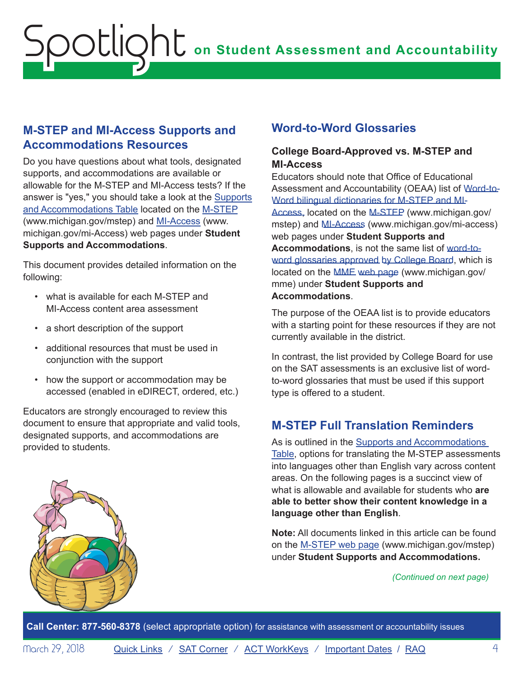## <span id="page-3-0"></span>**M-STEP and MI-Access Supports and Accommodations Resources**

Do you have questions about what tools, designated supports, and accommodations are available or allowable for the M-STEP and MI-Access tests? If the answer is "yes," you should take a look at the [Supports](http://www.michigan.gov/documents/mde/M-STEP_Supports_and__Accommodations_Table_477120_7.pdf)  [and Accommodations Table](http://www.michigan.gov/documents/mde/M-STEP_Supports_and__Accommodations_Table_477120_7.pdf) located on the [M-STEP](www.michigan.gov/mstep) ([www.michigan.gov/mstep\)](www.michigan.gov/mstep) and [MI-Access](http://www.michigan.gov/mi-access) ([www.](http://www.michigan.gov/mi-access) [michigan.gov/mi-Acces](http://www.michigan.gov/mi-access)s) web pages under **Student Supports and Accommodations**.

This document provides detailed information on the following:

- what is available for each M-STEP and MI-Access content area assessment
- a short description of the support
- additional resources that must be used in conjunction with the support
- how the support or accommodation may be accessed (enabled in eDIRECT, ordered, etc.)

Educators are strongly encouraged to review this document to ensure that appropriate and valid tools, designated supports, and accommodations are provided to students.

## **Word-to-Word Glossaries**

### **College Board-Approved vs. M-STEP and MI-Access**

Educators should note that Office of Educational Assessment and Accountability (OEAA) list of [Word-to-](http://www.michigan.gov/documents/mde/M-STEP_Word-to-Word_Bilingual_Dictionary_477115_7.pdf)[Word bilingual dictionaries for M-STEP and MI-](https://www.michigan.gov/documents/mde/College_Board_Word_to_Word_Glossaries_635496_7.pdf)Access, located on the [M-STEP](www.michigan.gov/mstep) (www.michigan.gov/ mstep) and [MI-Access \(](http://www.michigan.gov/mi-access)www.michigan.gov/mi-access) web pages under **Student Supports and Accommodations**, is not the same list of [word-to](http://www.michigan.gov/documents/mde/2018_SAT_Suite_Glossary_List_606190_7.pdf)[word glossaries approved by College Board,](http://www.michigan.gov/documents/mde/2018_SAT_Suite_Glossary_List_606190_7.pdf) which is located on the MME [web page](www.michigan.gov/mme) (www.michigan.gov/ mme) under **Student Supports and Accommodations**.

The purpose of the OEAA list is to provide educators with a starting point for these resources if they are not currently available in the district.

In contrast, the list provided by College Board for use on the SAT assessments is an exclusive list of wordto-word glossaries that must be used if this support type is offered to a student.

# **M-STEP Full Translation Reminders**

As is outlined in the [Supports and Accommodations](http://www.michigan.gov/documents/mde/M-STEP_Supports_and__Accommodations_Table_477120_7.pdf)  [Table,](http://www.michigan.gov/documents/mde/M-STEP_Supports_and__Accommodations_Table_477120_7.pdf) options for translating the M-STEP assessments into languages other than English vary across content areas. On the following pages is a succinct view of what is allowable and available for students who **are able to better show their content knowledge in a language other than English**.

**Note:** All documents linked in this article can be found on the [M-STEP web page](www.michigan.gov/mstep) (www.michigan.gov/mstep) under **Student Supports and Accommodations.**

#### *(Continued on next page)*

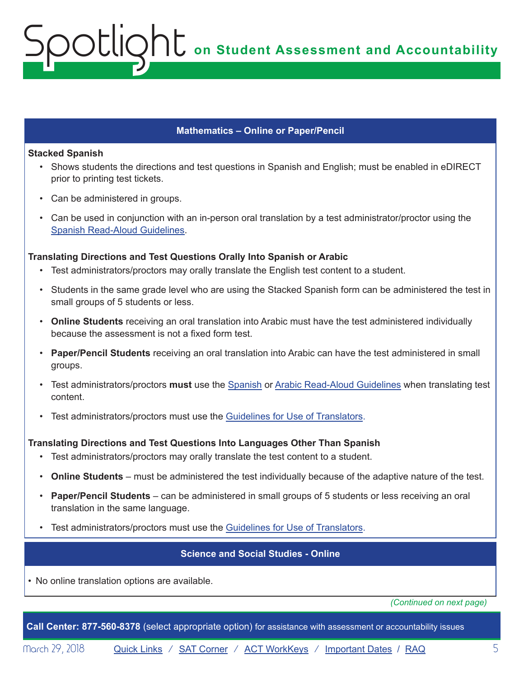**on Student Assessment and Accountability**

#### **Mathematics – Online or Paper/Pencil**

#### **Stacked Spanish**

- Shows students the directions and test questions in Spanish and English; must be enabled in eDIRECT prior to printing test tickets.
- Can be administered in groups.

Spotlight

• Can be used in conjunction with an in-person oral translation by a test administrator/proctor using the [Spanish Read-Aloud Guidelines.](http://www.michigan.gov/documents/mde/Math_Read-Aloud_Spanish_Guidelines_512131_7.pdf)

#### **Translating Directions and Test Questions Orally Into Spanish or Arabic**

- Test administrators/proctors may orally translate the English test content to a student.
- Students in the same grade level who are using the Stacked Spanish form can be administered the test in small groups of 5 students or less.
- **Online Students** receiving an oral translation into Arabic must have the test administered individually because the assessment is not a fixed form test.
- **Paper/Pencil Students** receiving an oral translation into Arabic can have the test administered in small groups.
- Test administrators/proctors **must** use the [Spanish](http://www.michigan.gov/documents/mde/Math_Read-Aloud_Spanish_Guidelines_512131_7.pdf) or [Arabic Read-Aloud Guidelines](http://www.michigan.gov/documents/mde/Arabic_Read-Aloud_Guidelines_M-STEP_Mathematics_536798_7.pdf) when translating test content.
- Test administrators/proctors must use the [Guidelines for Use of Translators](http://www.michigan.gov/documents/mde/Recommended_Qualifications_and_Guidelines_for_Use_of_Interpreters.final_480015_7.pdf).

#### **Translating Directions and Test Questions Into Languages Other Than Spanish**

- Test administrators/proctors may orally translate the test content to a student.
- **Online Students** must be administered the test individually because of the adaptive nature of the test.
- **Paper/Pencil Students** can be administered in small groups of 5 students or less receiving an oral translation in the same language.
- Test administrators/proctors must use the [Guidelines for Use of Translators](http://www.michigan.gov/documents/mde/Recommended_Qualifications_and_Guidelines_for_Use_of_Interpreters.final_480015_7.pdf).

#### **Science and Social Studies - Online**

• No online translation options are available.

*(Continued on next page)*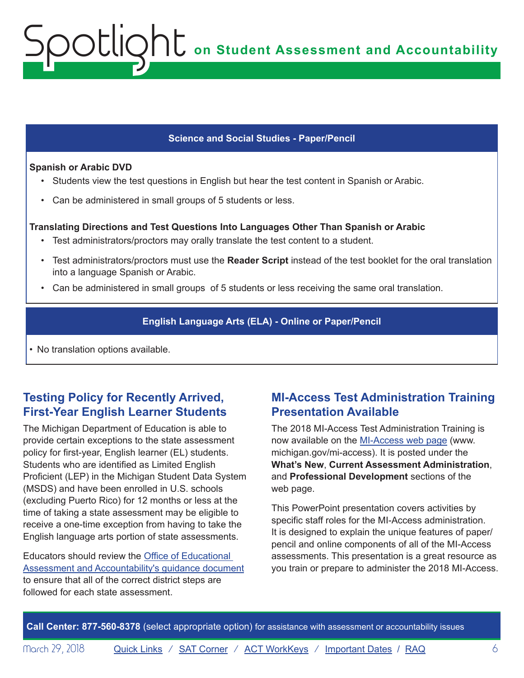#### **Science and Social Studies - Paper/Pencil**

#### **Spanish or Arabic DVD**

<span id="page-5-0"></span>Spotlight

- Students view the test questions in English but hear the test content in Spanish or Arabic.
- Can be administered in small groups of 5 students or less.

#### **Translating Directions and Test Questions Into Languages Other Than Spanish or Arabic**

- Test administrators/proctors may orally translate the test content to a student.
- Test administrators/proctors must use the **Reader Script** instead of the test booklet for the oral translation into a language Spanish or Arabic.
- Can be administered in small groups of 5 students or less receiving the same oral translation.

### **English Language Arts (ELA) - Online or Paper/Pencil**

• No translation options available.

## **Testing Policy for Recently Arrived, First-Year English Learner Students**

The Michigan Department of Education is able to provide certain exceptions to the state assessment policy for first-year, English learner (EL) students. Students who are identified as Limited English Proficient (LEP) in the Michigan Student Data System (MSDS) and have been enrolled in U.S. schools (excluding Puerto Rico) for 12 months or less at the time of taking a state assessment may be eligible to receive a one-time exception from having to take the English language arts portion of state assessments.

Educators should review the [Office of Educational](http://www.michigan.gov/documents/mde/2018_EL_First-Year_Testing_Policy_608193_7.pdf)  [Assessment and Accountability's guidance document](http://www.michigan.gov/documents/mde/2018_EL_First-Year_Testing_Policy_608193_7.pdf) to ensure that all of the correct district steps are followed for each state assessment.

## **MI-Access Test Administration Training Presentation Available**

The 2018 MI-Access Test Administration Training is now available on the [MI-Access web page \(www.](http://www.michigan.gov/mi-access) [michigan.gov/mi-access\)](http://www.michigan.gov/mi-access). It is posted under the **What's New**, **Current Assessment Administration**, and **Professional Development** sections of the web page.

This PowerPoint presentation covers activities by specific staff roles for the MI-Access administration. It is designed to explain the unique features of paper/ pencil and online components of all of the MI-Access assessments. This presentation is a great resource as you train or prepare to administer the 2018 MI-Access.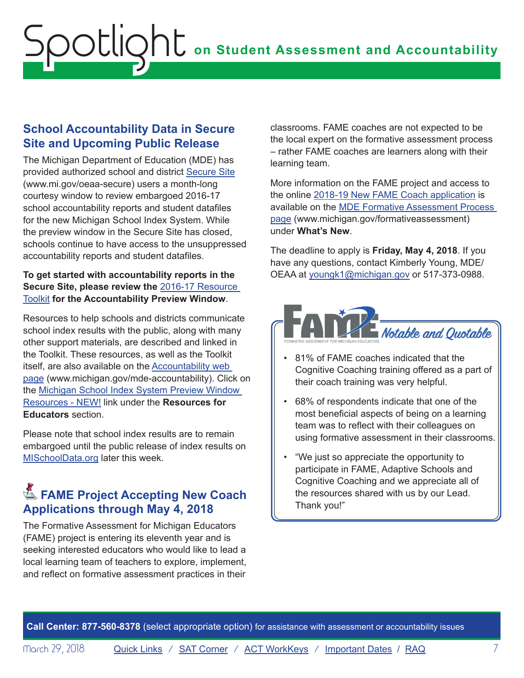# <span id="page-6-0"></span>**School Accountability Data in Secure Site and Upcoming Public Release**

The Michigan Department of Education (MDE) has provided authorized school and district [Secure Site](http://www.michigan.gov/oeaa-secure) ([www.mi.gov/oeaa-secure\)](http://www.michigan.gov/oeaa-secure) users a month-long courtesy window to review embargoed 2016-17 school accountability reports and student datafiles for the new Michigan School Index System. While the preview window in the Secure Site has closed, schools continue to have access to the unsuppressed accountability reports and student datafiles.

### **To get started with accountability reports in the Secure Site, please review the** [2016-17 Resource](http://www.mi.gov/documents/mde/Accountability_Preview_Window_Resource_Toolkit_615468_7.pdf)  [Toolkit](http://www.mi.gov/documents/mde/Accountability_Preview_Window_Resource_Toolkit_615468_7.pdf) **for the Accountability Preview Window**.

Resources to help schools and districts communicate school index results with the public, along with many other support materials, are described and linked in the Toolkit. These resources, as well as the Toolkit itself, are also available on the [Accountability web](http://www.mi.gov/mde-accountability)  [page](http://www.mi.gov/mde-accountability) (www.michigan.gov/mde-accountability). Click on the [Michigan School Index System Preview Window](http://www.michigan.gov/mde/0,4615,7-140-81376_59490-251853--,00.html)  [Resources - NEW!](http://www.michigan.gov/mde/0,4615,7-140-81376_59490-251853--,00.html) link under the **Resources for Educators** section.

Please note that school index results are to remain embargoed until the public release of index results on [MISchoolData.org](http://MISchoolData.org) later this week.

# **Example Project Accepting New Coach Applications through May 4, 2018**

The Formative Assessment for Michigan Educators (FAME) project is entering its eleventh year and is seeking interested educators who would like to lead a local learning team of teachers to explore, implement, and reflect on formative assessment practices in their

classrooms. FAME coaches are not expected to be the local expert on the formative assessment process – rather FAME coaches are learners along with their learning team.

More information on the FAME project and access to the online [2018-19 New FAME Coach application](https://www.surveymonkey.com/r/FAMEnewcoaches) is available on the [MDE Formative Assessment Process](http://www.michigan.gov/formativeassessment)  [page \(www.michigan.gov/formativeassessment](http://www.michigan.gov/formativeassessment)) under **What's New**.

The deadline to apply is **Friday, May 4, 2018**. If you have any questions, contact Kimberly Young, MDE/ OEAA at [youngk1@michigan.gov](mailto:youngk1%40michigan.gov?subject=) or 517-373-0988.



- 81% of FAME coaches indicated that the Cognitive Coaching training offered as a part of their coach training was very helpful.
- 68% of respondents indicate that one of the most beneficial aspects of being on a learning team was to reflect with their colleagues on using formative assessment in their classrooms.
- "We just so appreciate the opportunity to participate in FAME, Adaptive Schools and Cognitive Coaching and we appreciate all of the resources shared with us by our Lead. Thank you!"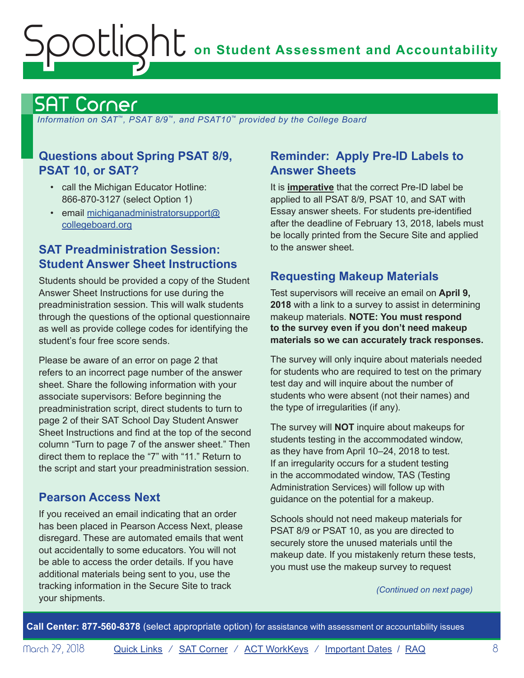# <span id="page-7-1"></span><span id="page-7-0"></span>SAT Corner

 *Information on SAT*™*, PSAT 8/9*™*, and PSAT10*™ *provided by the College Board*

## **Questions about Spring PSAT 8/9, PSAT 10, or SAT?**

- call the Michigan Educator Hotline: 866-870-3127 (select Option 1)
- email [michiganadministratorsupport@](mailto:michiganadministratorsupport%40collegeboard.org?subject=) [collegeboard.org](mailto:michiganadministratorsupport%40collegeboard.org?subject=)

## **SAT Preadministration Session: Student Answer Sheet Instructions**

Students should be provided a copy of the Student Answer Sheet Instructions for use during the preadministration session. This will walk students through the questions of the optional questionnaire as well as provide college codes for identifying the student's four free score sends.

Please be aware of an error on page 2 that refers to an incorrect page number of the answer sheet. Share the following information with your associate supervisors: Before beginning the preadministration script, direct students to turn to page 2 of their SAT School Day Student Answer Sheet Instructions and find at the top of the second column "Turn to page 7 of the answer sheet." Then direct them to replace the "7" with "11." Return to the script and start your preadministration session.

# **Pearson Access Next**

If you received an email indicating that an order has been placed in Pearson Access Next, please disregard. These are automated emails that went out accidentally to some educators. You will not be able to access the order details. If you have additional materials being sent to you, use the tracking information in the Secure Site to track your shipments.

## **Reminder: Apply Pre-ID Labels to Answer Sheets**

It is **imperative** that the correct Pre-ID label be applied to all PSAT 8/9, PSAT 10, and SAT with Essay answer sheets. For students pre-identified after the deadline of February 13, 2018, labels must be locally printed from the Secure Site and applied to the answer sheet.

## **Requesting Makeup Materials**

Test supervisors will receive an email on **April 9, 2018** with a link to a survey to assist in determining makeup materials. **NOTE: You must respond to the survey even if you don't need makeup materials so we can accurately track responses.**

The survey will only inquire about materials needed for students who are required to test on the primary test day and will inquire about the number of students who were absent (not their names) and the type of irregularities (if any).

The survey will **NOT** inquire about makeups for students testing in the accommodated window, as they have from April 10–24, 2018 to test. If an irregularity occurs for a student testing in the accommodated window, TAS (Testing Administration Services) will follow up with guidance on the potential for a makeup.

Schools should not need makeup materials for PSAT 8/9 or PSAT 10, as you are directed to securely store the unused materials until the makeup date. If you mistakenly return these tests, you must use the makeup survey to request

*(Continued on next page)*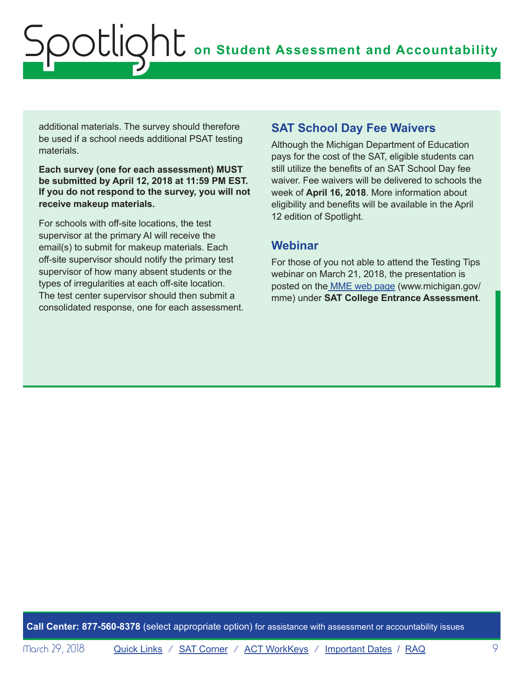additional materials. The survey should therefore be used if a school needs additional PSAT testing materials.

**Each survey (one for each assessment) MUST be submitted by April 12, 2018 at 11:59 PM EST. If you do not respond to the survey, you will not receive makeup materials.**

For schools with off-site locations, the test supervisor at the primary AI will receive the email(s) to submit for makeup materials. Each off-site supervisor should notify the primary test supervisor of how many absent students or the types of irregularities at each off-site location. The test center supervisor should then submit a consolidated response, one for each assessment.

## **SAT School Day Fee Waivers**

Although the Michigan Department of Education pays for the cost of the SAT, eligible students can still utilize the benefits of an SAT School Day fee waiver. Fee waivers will be delivered to schools the week of **April 16, 2018**. More information about eligibility and benefits will be available in the April 12 edition of Spotlight.

## **Webinar**

For those of you not able to attend the Testing Tips webinar on March 21, 2018, the presentation is posted on th[e MME web page](www.michigan.gov/mme) ([www.michigan.gov/](www.michigan.gov/mme) [mme\)](www.michigan.gov/mme) under **SAT College Entrance Assessment**.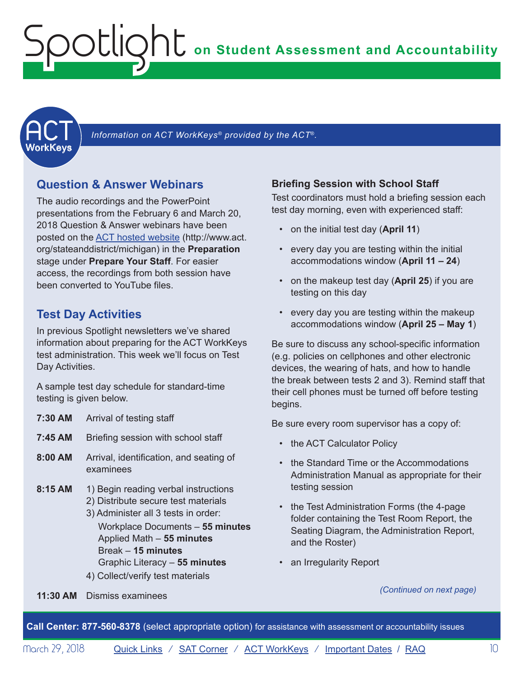<span id="page-9-1"></span><span id="page-9-0"></span>

Information on ACT WorkKeys<sup>®</sup> provided by the ACT<sup>®</sup>.

## **Question & Answer Webinars**

The audio recordings and the PowerPoint presentations from the February 6 and March 20, 2018 Question & Answer webinars have been posted on the [ACT hosted website](http://www.act.org/stateanddistrict/michigan) ([http://www.act.](http://www.act.org/stateanddistrict/michigan) [org/stateanddistrict/michigan\)](http://www.act.org/stateanddistrict/michigan) in the **Preparation** stage under **Prepare Your Staff**. For easier access, the recordings from both session have been converted to YouTube files.

## **Test Day Activities**

In previous Spotlight newsletters we've shared information about preparing for the ACT WorkKeys test administration. This week we'll focus on Test Day Activities.

A sample test day schedule for standard-time testing is given below.

| 7:30 AM   | Arrival of testing staff                                                                                                                                                                                                                                                       |
|-----------|--------------------------------------------------------------------------------------------------------------------------------------------------------------------------------------------------------------------------------------------------------------------------------|
| 7:45 AM   | Briefing session with school staff                                                                                                                                                                                                                                             |
| $8:00$ AM | Arrival, identification, and seating of<br>examinees                                                                                                                                                                                                                           |
| $8:15$ AM | 1) Begin reading verbal instructions<br>2) Distribute secure test materials<br>3) Administer all 3 tests in order:<br>Workplace Documents - 55 minutes<br>Applied Math - 55 minutes<br>Break – 15 minutes<br>Graphic Literacy - 55 minutes<br>4) Collect/verify test materials |

### **Briefing Session with School Staff**

Test coordinators must hold a briefing session each test day morning, even with experienced staff:

- on the initial test day (**April 11**)
- every day you are testing within the initial accommodations window (**April 11 – 24**)
- on the makeup test day (**April 25**) if you are testing on this day
- every day you are testing within the makeup accommodations window (**April 25 – May 1**)

Be sure to discuss any school-specific information (e.g. policies on cellphones and other electronic devices, the wearing of hats, and how to handle the break between tests 2 and 3). Remind staff that their cell phones must be turned off before testing begins.

Be sure every room supervisor has a copy of:

- the ACT Calculator Policy
- the Standard Time or the Accommodations Administration Manual as appropriate for their testing session
- the Test Administration Forms (the 4-page folder containing the Test Room Report, the Seating Diagram, the Administration Report, and the Roster)
- an Irregularity Report

#### *(Continued on next page)*

**11:30 AM** Dismiss examinees

**Call Center: 877-560-8378** (select appropriate option) for assistance with assessment or accountability issues

Morch 29, 2018 **[Quick Links](#page-0-0)** / **[SAT Corner](#page-7-1)** / **[ACT WorkKeys](#page-9-1)** / **[Important Dates](#page-13-1)** / **[RAQ](#page-15-1)** 10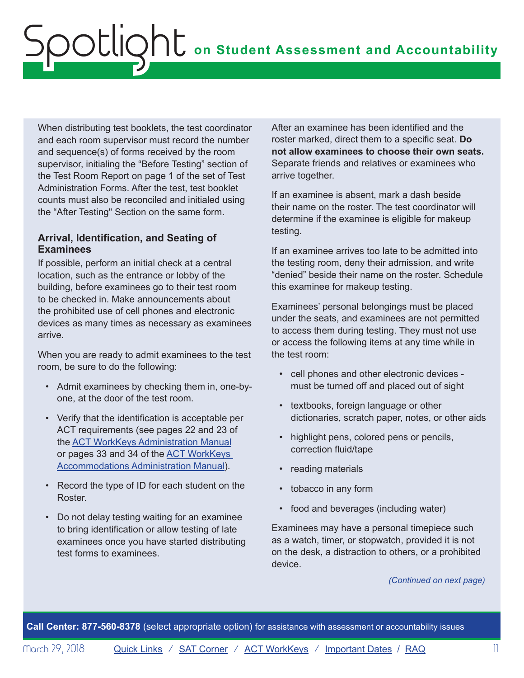When distributing test booklets, the test coordinator and each room supervisor must record the number and sequence(s) of forms received by the room supervisor, initialing the "Before Testing" section of the Test Room Report on page 1 of the set of Test Administration Forms. After the test, test booklet counts must also be reconciled and initialed using the "After Testing" Section on the same form.

#### **Arrival, Identification, and Seating of Examinees**

If possible, perform an initial check at a central location, such as the entrance or lobby of the building, before examinees go to their test room to be checked in. Make announcements about the prohibited use of cell phones and electronic devices as many times as necessary as examinees arrive.

When you are ready to admit examinees to the test room, be sure to do the following:

- Admit examinees by checking them in, one-byone, at the door of the test room.
- Verify that the identification is acceptable per ACT requirements (see pages 22 and 23 of the [ACT WorkKeys Administration Manual](https://www.act.org/content/dam/act/secured/documents/pdfs/WK-Admin-SD-Std-Time-Paper-Secured.pdf) or pages 33 and 34 of the [ACT WorkKeys](https://www.act.org/content/dam/act/secured/documents/pdfs/WK-Admin-SD-Accoms-Secured.pdf)  [Accommodations Administration Manual](https://www.act.org/content/dam/act/secured/documents/pdfs/WK-Admin-SD-Accoms-Secured.pdf)).
- Record the type of ID for each student on the **Roster**
- Do not delay testing waiting for an examinee to bring identification or allow testing of late examinees once you have started distributing test forms to examinees.

After an examinee has been identified and the roster marked, direct them to a specific seat. **Do not allow examinees to choose their own seats.** Separate friends and relatives or examinees who arrive together.

If an examinee is absent, mark a dash beside their name on the roster. The test coordinator will determine if the examinee is eligible for makeup testing.

If an examinee arrives too late to be admitted into the testing room, deny their admission, and write "denied" beside their name on the roster. Schedule this examinee for makeup testing.

Examinees' personal belongings must be placed under the seats, and examinees are not permitted to access them during testing. They must not use or access the following items at any time while in the test room:

- cell phones and other electronic devices must be turned off and placed out of sight
- textbooks, foreign language or other dictionaries, scratch paper, notes, or other aids
- highlight pens, colored pens or pencils, correction fluid/tape
- reading materials
- tobacco in any form
- food and beverages (including water)

Examinees may have a personal timepiece such as a watch, timer, or stopwatch, provided it is not on the desk, a distraction to others, or a prohibited device.

*(Continued on next page)*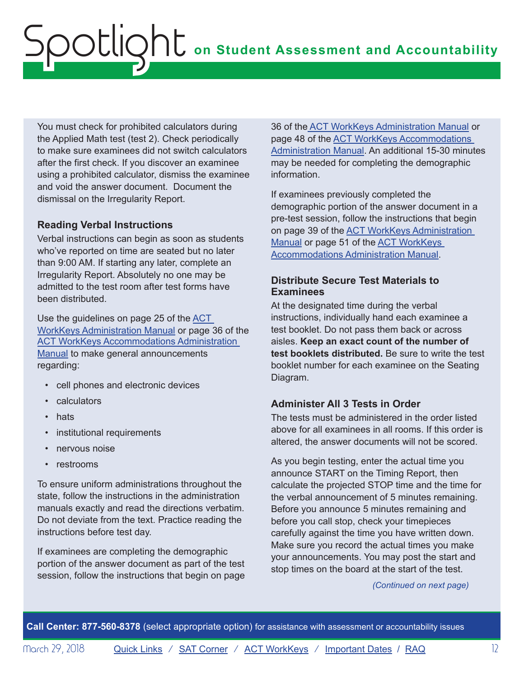You must check for prohibited calculators during the Applied Math test (test 2). Check periodically to make sure examinees did not switch calculators after the first check. If you discover an examinee using a prohibited calculator, dismiss the examinee and void the answer document. Document the dismissal on the Irregularity Report.

### **Reading Verbal Instructions**

Verbal instructions can begin as soon as students who've reported on time are seated but no later than 9:00 AM. If starting any later, complete an Irregularity Report. Absolutely no one may be admitted to the test room after test forms have been distributed.

Use the guidelines on page 25 of the ACT [WorkKeys Administration Manual](https://www.act.org/content/dam/act/secured/documents/pdfs/WK-Admin-SD-Std-Time-Paper-Secured.pdf) or page 36 of the [ACT WorkKeys Accommodations Administration](https://www.act.org/content/dam/act/secured/documents/pdfs/WK-Admin-SD-Accoms-Secured.pdf)  [Manual](https://www.act.org/content/dam/act/secured/documents/pdfs/WK-Admin-SD-Accoms-Secured.pdf) to make general announcements regarding:

- cell phones and electronic devices
- calculators
- hats
- institutional requirements
- nervous noise
- restrooms

To ensure uniform administrations throughout the state, follow the instructions in the administration manuals exactly and read the directions verbatim. Do not deviate from the text. Practice reading the instructions before test day.

If examinees are completing the demographic portion of the answer document as part of the test session, follow the instructions that begin on page

36 of the [ACT WorkKeys Administration Manual](https://www.act.org/content/dam/act/secured/documents/pdfs/WK-Admin-SD-Std-Time-Paper-Secured.pdf) or page 48 of the [ACT WorkKeys Accommodations](https://www.act.org/content/dam/act/secured/documents/pdfs/WK-Admin-SD-Accoms-Secured.pdf)  [Administration Manual.](https://www.act.org/content/dam/act/secured/documents/pdfs/WK-Admin-SD-Accoms-Secured.pdf) An additional 15-30 minutes may be needed for completing the demographic information.

If examinees previously completed the demographic portion of the answer document in a pre-test session, follow the instructions that begin on page 39 of the [ACT WorkKeys Administration](https://www.act.org/content/dam/act/secured/documents/pdfs/WK-Admin-SD-Std-Time-Paper-Secured.pdf)  [Manual](https://www.act.org/content/dam/act/secured/documents/pdfs/WK-Admin-SD-Std-Time-Paper-Secured.pdf) or page 51 of the [ACT WorkKeys](https://www.act.org/content/dam/act/secured/documents/pdfs/WK-Admin-SD-Accoms-Secured.pdf)  [Accommodations Administration Manual](https://www.act.org/content/dam/act/secured/documents/pdfs/WK-Admin-SD-Accoms-Secured.pdf).

### **Distribute Secure Test Materials to Examinees**

At the designated time during the verbal instructions, individually hand each examinee a test booklet. Do not pass them back or across aisles. **Keep an exact count of the number of test booklets distributed.** Be sure to write the test booklet number for each examinee on the Seating Diagram.

## **Administer All 3 Tests in Order**

The tests must be administered in the order listed above for all examinees in all rooms. If this order is altered, the answer documents will not be scored.

As you begin testing, enter the actual time you announce START on the Timing Report, then calculate the projected STOP time and the time for the verbal announcement of 5 minutes remaining. Before you announce 5 minutes remaining and before you call stop, check your timepieces carefully against the time you have written down. Make sure you record the actual times you make your announcements. You may post the start and stop times on the board at the start of the test.

*(Continued on next page)*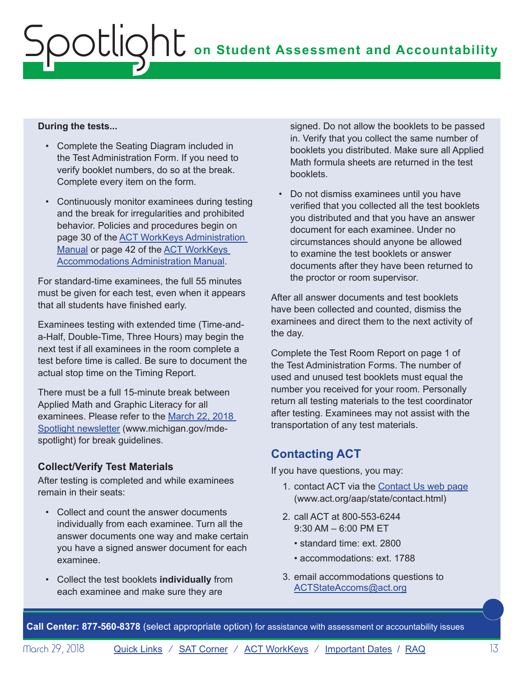#### **During the tests...**

- Complete the Seating Diagram included in the Test Administration Form. If you need to verify booklet numbers, do so at the break. Complete every item on the form.
- Continuously monitor examinees during testing and the break for irregularities and prohibited behavior. Policies and procedures begin on page 30 of the [ACT WorkKeys Administration](https://www.act.org/content/dam/act/secured/documents/pdfs/WK-Admin-SD-Std-Time-Paper-Secured.pdf)  [Manual](https://www.act.org/content/dam/act/secured/documents/pdfs/WK-Admin-SD-Std-Time-Paper-Secured.pdf) or page 42 of the **ACT WorkKeys** [Accommodations Administration Manual](https://www.act.org/content/dam/act/secured/documents/pdfs/WK-Admin-SD-Accoms-Secured.pdf).

For standard-time examinees, the full 55 minutes must be given for each test, even when it appears that all students have finished early.

Examinees testing with extended time (Time-anda-Half, Double-Time, Three Hours) may begin the next test if all examinees in the room complete a test before time is called. Be sure to document the actual stop time on the Timing Report.

There must be a full 15-minute break between Applied Math and Graphic Literacy for all examinees. Please refer to the March 22, 2018 [Spotlight newsletter](https://www.michigan.gov/documents/mde/Spotlight_3-22-18_618209_7.pdf) ([www.michigan.gov/mde](http://www.michigan.gov/mde-spotlight)[spotlight](http://www.michigan.gov/mde-spotlight)) for break guidelines.

## **Collect/Verify Test Materials**

After testing is completed and while examinees remain in their seats:

- Collect and count the answer documents individually from each examinee. Turn all the answer documents one way and make certain you have a signed answer document for each examinee.
- Collect the test booklets **individually** from each examinee and make sure they are

signed. Do not allow the booklets to be passed in. Verify that you collect the same number of booklets you distributed. Make sure all Applied Math formula sheets are returned in the test booklets.

• Do not dismiss examinees until you have verified that you collected all the test booklets you distributed and that you have an answer document for each examinee. Under no circumstances should anyone be allowed to examine the test booklets or answer documents after they have been returned to the proctor or room supervisor.

After all answer documents and test booklets have been collected and counted, dismiss the examinees and direct them to the next activity of the day.

Complete the Test Room Report on page 1 of the Test Administration Forms. The number of used and unused test booklets must equal the number you received for your room. Personally return all testing materials to the test coordinator after testing. Examinees may not assist with the transportation of any test materials.

# **Contacting ACT**

If you have questions, you may:

- 1. contact ACT via the [Contact Us web page](http://www.act.org/aap/state/contact.html) [\(www.act.org/aap/state/contact.html](www.act.org/aap/state/contact.html))
- 2. call ACT at 800-553-6244 9:30 AM – 6:00 PM ET
	- standard time: ext. 2800
	- accommodations: ext. 1788
- 3. email accommodations questions to [ACTStateAccoms@act.org](mailto:ACTStateAccoms%40act.org?subject=)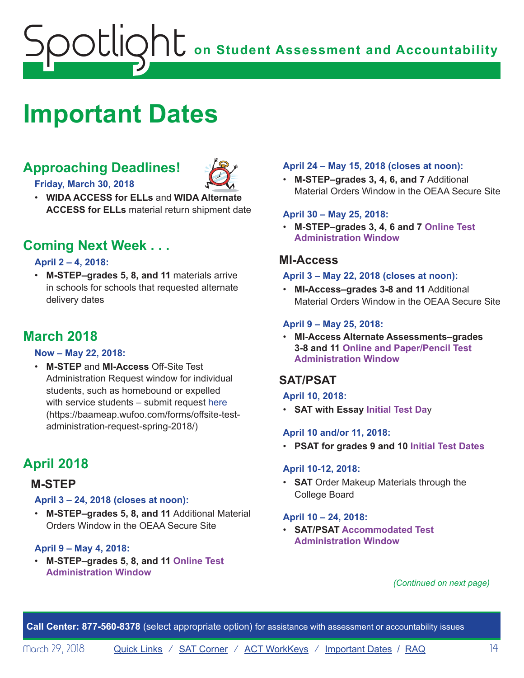# <span id="page-13-1"></span><span id="page-13-0"></span>**Important Dates**

# **Approaching Deadlines!**



**Friday, March 30, 2018**

• **WIDA ACCESS for ELLs** and **WIDA Alternate ACCESS for ELLs** material return shipment date

# **Coming Next Week . . .**

### **April 2 – 4, 2018:**

• **M-STEP–grades 5, 8, and 11** materials arrive in schools for schools that requested alternate delivery dates

# **March 2018**

#### **Now – May 22, 2018:**

• **M-STEP** and **MI-Access** Off-Site Test Administration Request window for individual students, such as homebound or expelled with service students – submit request [here](https://baameap.wufoo.com/forms/offsite-test-administration-request-spring-2018/) ([https://baameap.wufoo.com/forms/offsite-test](https://baameap.wufoo.com/forms/offsite-test-administration-request-spring-2018/)[administration-request-spring-2018/\)](https://baameap.wufoo.com/forms/offsite-test-administration-request-spring-2018/)

# **April 2018**

## **M-STEP**

#### **April 3 – 24, 2018 (closes at noon):**

• **M-STEP–grades 5, 8, and 11** Additional Material Orders Window in the OEAA Secure Site

### **April 9 – May 4, 2018:**

• **M-STEP–grades 5, 8, and 11 Online Test Administration Window**

### **April 24 – May 15, 2018 (closes at noon):**

• **M-STEP–grades 3, 4, 6, and 7** Additional Material Orders Window in the OEAA Secure Site

#### **April 30 – May 25, 2018:**

• **M-STEP–grades 3, 4, 6 and 7 Online Test Administration Window**

## **MI-Access**

#### **April 3 – May 22, 2018 (closes at noon):**

• **MI-Access–grades 3-8 and 11** Additional Material Orders Window in the OEAA Secure Site

### **April 9 – May 25, 2018:**

• **MI-Access Alternate Assessments–grades 3-8 and 11 Online and Paper/Pencil Test Administration Window**

## **SAT/PSAT**

#### **April 10, 2018:**

• **SAT with Essay Initial Test Da**y

### **April 10 and/or 11, 2018:**

• **PSAT for grades 9 and 10 Initial Test Dates**

#### **April 10-12, 2018:**

• **SAT** Order Makeup Materials through the College Board

### **April 10 – 24, 2018:**

• **SAT/PSAT Accommodated Test Administration Window**

#### *(Continued on next page)*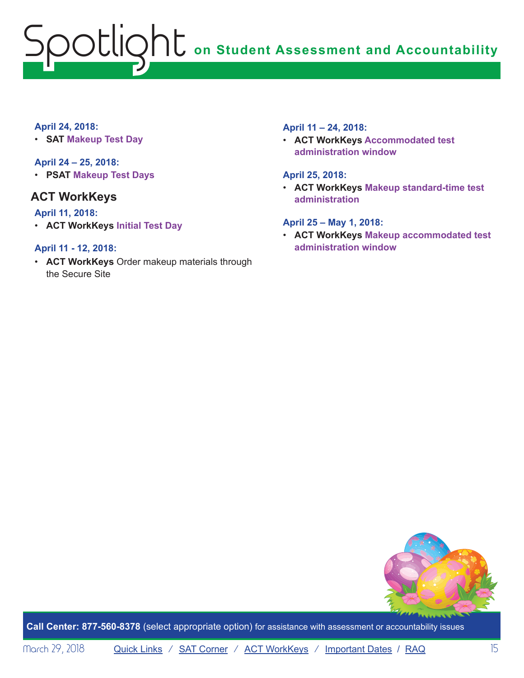## **April 24, 2018:**

• **SAT Makeup Test Day**

## **April 24 – 25, 2018:**

• **PSAT Makeup Test Days**

## **ACT WorkKeys**

### **April 11, 2018:**

• **ACT WorkKeys Initial Test Day**

### **April 11 - 12, 2018:**

• **ACT WorkKeys** Order makeup materials through the Secure Site

### **April 11 – 24, 2018:**

• **ACT WorkKeys Accommodated test administration window**

#### **April 25, 2018:**

• **ACT WorkKeys Makeup standard-time test administration**

### **April 25 – May 1, 2018:**

• **ACT WorkKeys Makeup accommodated test administration window**